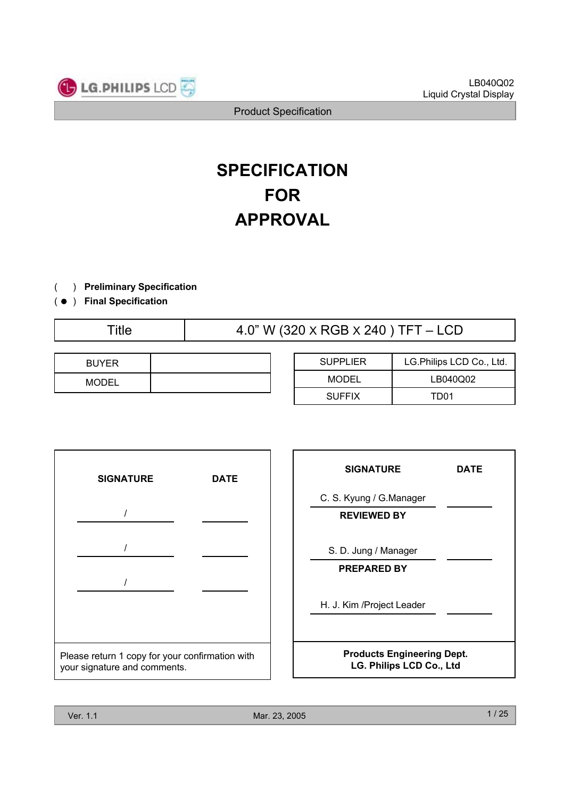

# **SPECIFICATION FOR APPROVAL**

- ) **Preliminary Specification** $\left($
- ) ( **Final Specification**

Title  $4.0$ " W (320 X RGB X 240 ) TFT – LCD

| <b>BUYER</b> |  |
|--------------|--|
| <b>MODEL</b> |  |

| <b>SUPPLIER</b> | LG.Philips LCD Co., Ltd. |  |  |
|-----------------|--------------------------|--|--|
| <b>MODEL</b>    | LB040Q02                 |  |  |
| <b>SUFFIX</b>   | TD01                     |  |  |



| <b>SIGNATURE</b>                                              | <b>DATE</b> |  |  |  |
|---------------------------------------------------------------|-------------|--|--|--|
| C. S. Kyung / G. Manager<br><b>REVIEWED BY</b>                |             |  |  |  |
| S. D. Jung / Manager<br><b>PREPARED BY</b>                    |             |  |  |  |
| H. J. Kim / Project Leader                                    |             |  |  |  |
| <b>Products Engineering Dept.</b><br>LG. Philips LCD Co., Ltd |             |  |  |  |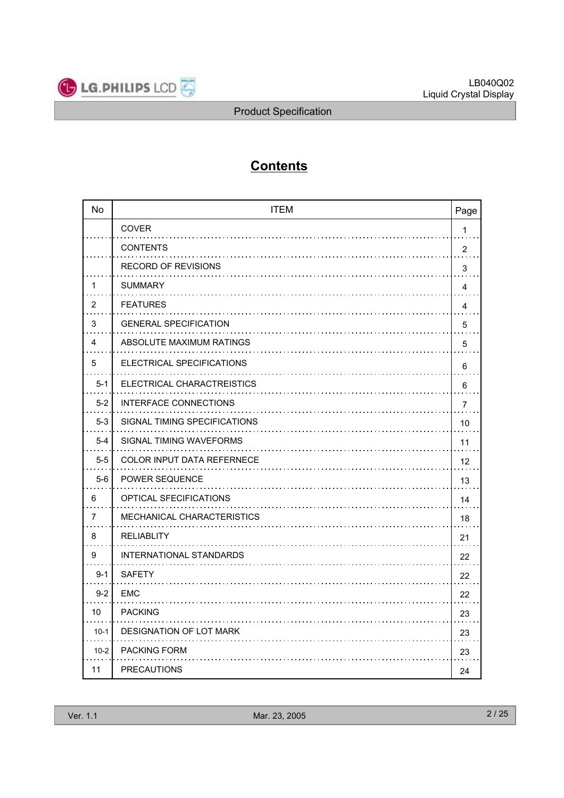

# **Contents**

| <b>No</b> | <b>ITEM</b>                    | Page           |
|-----------|--------------------------------|----------------|
|           | <b>COVER</b>                   | 1              |
|           | <b>CONTENTS</b>                | $\overline{2}$ |
|           | RECORD OF REVISIONS            | 3              |
| 1         | <b>SUMMARY</b>                 | 4              |
| 2         | <b>FEATURES</b>                | 4              |
| 3         | <b>GENERAL SPECIFICATION</b>   | 5              |
| 4         | ABSOLUTE MAXIMUM RATINGS       | 5              |
| 5         | ELECTRICAL SPECIFICATIONS      | 6              |
| $5 - 1$   | ELECTRICAL CHARACTREISTICS     | 6              |
| $5 - 2$   | <b>INTERFACE CONNECTIONS</b>   | $\overline{7}$ |
| $5 - 3$   | SIGNAL TIMING SPECIFICATIONS   | 10             |
| $5 - 4$   | SIGNAL TIMING WAVEFORMS        | 11             |
| $5 - 5$   | COLOR INPUT DATA REFERNECE     | 12             |
| $5-6$     | <b>POWER SEQUENCE</b>          | 13             |
| 6         | <b>OPTICAL SFECIFICATIONS</b>  | 14             |
| 7         | MECHANICAL CHARACTERISTICS     | 18             |
| 8         | <b>RELIABLITY</b>              | 21             |
| 9         | <b>INTERNATIONAL STANDARDS</b> | 22             |
| $9 - 1$   | <b>SAFETY</b>                  | 22             |
| $9 - 2$   | EMC                            | 22             |
| 10        | <b>PACKING</b>                 | 23             |
| $10-1$    | <b>DESIGNATION OF LOT MARK</b> | 23             |
| $10-2$    | <b>PACKING FORM</b>            | 23             |
| 11        | <b>PRECAUTIONS</b>             | 24             |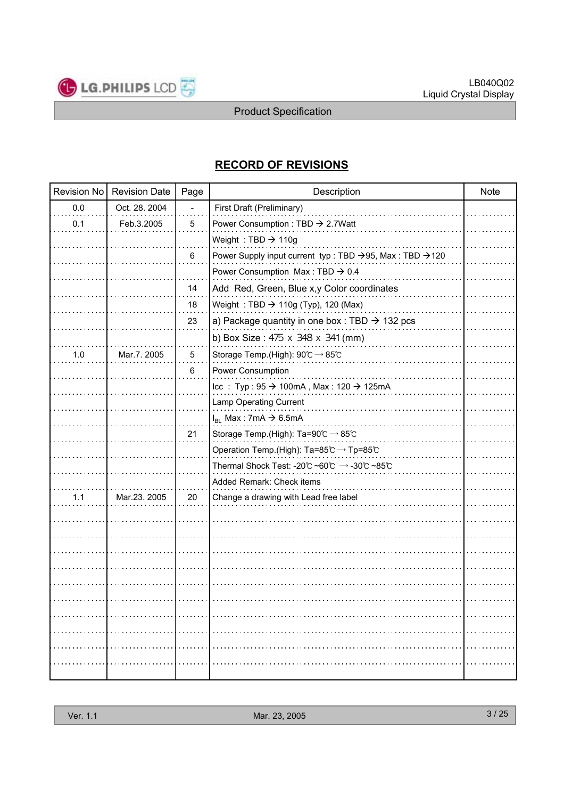

# **RECORD OF REVISIONS**

| Revision No | <b>Revision Date</b> | Page | Description                                                                | <b>Note</b> |
|-------------|----------------------|------|----------------------------------------------------------------------------|-------------|
| 0.0         | Oct. 28. 2004        |      | First Draft (Preliminary)                                                  |             |
| 0.1         | Feb.3.2005           | 5    | Power Consumption : TBD → 2.7Watt                                          |             |
|             |                      |      | Weight: TBD $\rightarrow$ 110g                                             |             |
|             |                      | 6    | Power Supply input current typ : TBD →95, Max : TBD →120                   |             |
|             |                      |      | Power Consumption Max: TBD $\rightarrow$ 0.4                               |             |
|             |                      | 14   | Add Red, Green, Blue x,y Color coordinates                                 |             |
|             |                      | 18   | Weight: TBD $\rightarrow$ 110g (Typ), 120 (Max)                            |             |
|             |                      | 23   | a) Package quantity in one box : TBD $\rightarrow$ 132 pcs                 |             |
|             |                      |      | b) Box Size: 475 x 348 x 341 (mm)                                          |             |
| 1.0         | Mar.7. 2005          | 5    | Storage Temp.(High): 90℃ → 85℃                                             |             |
|             |                      | 6    | Power Consumption                                                          |             |
|             |                      |      | $\text{Icc}$ : Typ : 95 $\rightarrow$ 100mA, Max : 120 $\rightarrow$ 125mA |             |
|             |                      |      | Lamp Operating Current                                                     |             |
|             |                      |      | $I_{BL}$ Max: 7mA $\rightarrow$ 6.5mA                                      |             |
|             |                      | 21   | Storage Temp.(High): Ta=90℃ → 85℃                                          |             |
|             |                      |      | Operation Temp.(High): Ta=85℃ → Tp=85℃                                     |             |
|             |                      |      | Thermal Shock Test: -20℃ ~60℃ → -30℃ ~85℃                                  |             |
|             |                      |      | Added Remark: Check items                                                  |             |
| 1.1         | Mar.23. 2005         | 20   | Change a drawing with Lead free label                                      |             |
|             |                      |      |                                                                            |             |
|             |                      |      |                                                                            |             |
|             |                      |      |                                                                            |             |
|             |                      |      |                                                                            |             |
|             |                      |      |                                                                            |             |
|             |                      |      |                                                                            |             |
|             |                      |      |                                                                            |             |
|             |                      |      |                                                                            |             |
|             |                      |      |                                                                            |             |
|             |                      |      |                                                                            |             |
|             |                      |      |                                                                            |             |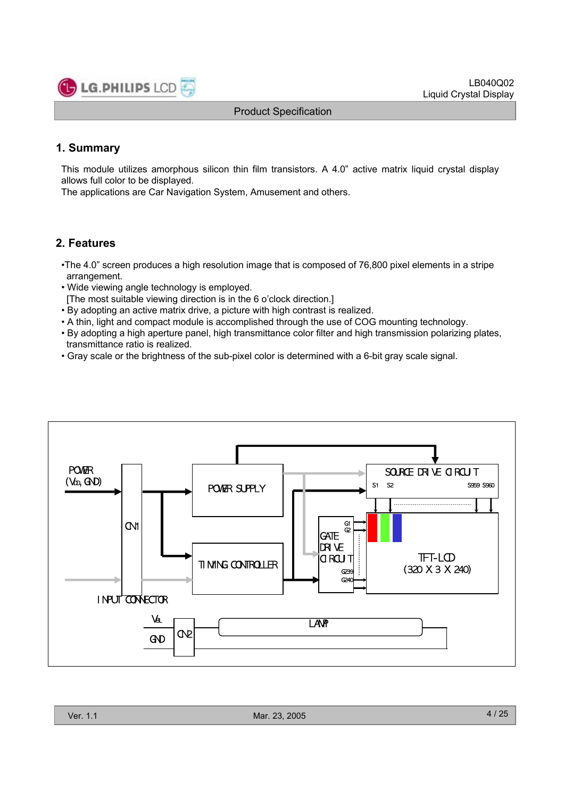

LB040Q02 Liquid Crystal Display

Product Specification

# **1. Summary**

This module utilizes amorphous silicon thin film transistors. A 4.0" active matrix liquid crystal display allows full color to be displayed.

The applications are Car Navigation System, Amusement and others.

# **2. Features**

- •The 4.0" screen produces a high resolution image that is composed of 76,800 pixel elements in a stripe arrangement.
- Wide viewing angle technology is employed.
- [The most suitable viewing direction is in the 6 o'clock direction.]
- By adopting an active matrix drive, a picture with high contrast is realized.
- A thin, light and compact module is accomplished through the use of COG mounting technology.
- By adopting a high aperture panel, high transmittance color filter and high transmission polarizing plates, transmittance ratio is realized.
- Gray scale or the brightness of the sub-pixel color is determined with a 6-bit gray scale signal.

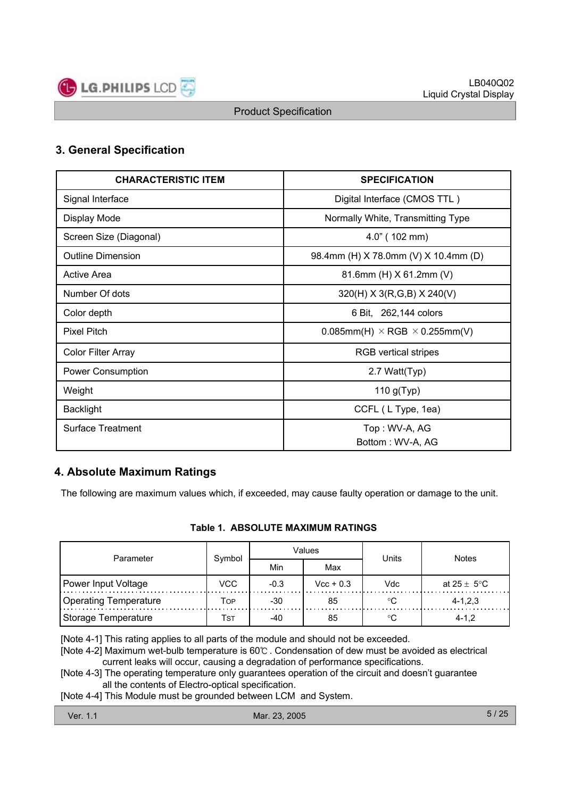

# **3. General Specification**

| <b>CHARACTERISTIC ITEM</b> | <b>SPECIFICATION</b>                           |
|----------------------------|------------------------------------------------|
| Signal Interface           | Digital Interface (CMOS TTL)                   |
| Display Mode               | Normally White, Transmitting Type              |
| Screen Size (Diagonal)     | $4.0$ " (102 mm)                               |
| <b>Outline Dimension</b>   | 98.4mm (H) X 78.0mm (V) X 10.4mm (D)           |
| Active Area                | 81.6mm (H) X 61.2mm (V)                        |
| Number Of dots             | 320(H) X 3(R,G,B) X 240(V)                     |
| Color depth                | 6 Bit, 262,144 colors                          |
| <b>Pixel Pitch</b>         | $0.085$ mm(H) $\times$ RGB $\times$ 0.255mm(V) |
| <b>Color Filter Array</b>  | <b>RGB</b> vertical stripes                    |
| Power Consumption          | 2.7 Watt(Typ)                                  |
| Weight                     | 110 $g(Typ)$                                   |
| <b>Backlight</b>           | CCFL (L Type, 1ea)                             |
| <b>Surface Treatment</b>   | Top: WV-A, AG                                  |
|                            | Bottom: WV-A, AG                               |

# **4. Absolute Maximum Ratings**

The following are maximum values which, if exceeded, may cause faulty operation or damage to the unit.

#### **Table 1. ABSOLUTE MAXIMUM RATINGS**

| Parameter             | Symbol |        | Values             | Units | <b>Notes</b>            |  |
|-----------------------|--------|--------|--------------------|-------|-------------------------|--|
|                       |        | Min    | Max                |       |                         |  |
| Power Input Voltage   | VCC    | $-0.3$ | $\text{Vcc} + 0.3$ | Vdc   | at $25 \pm 5^{\circ}$ C |  |
| Operating Temperature | Top    | $-30$  | 85                 | ം     | $4 - 1, 2, 3$           |  |
| Storage Temperature   | Tst    | -40    | 85                 |       | $4 - 1.2$               |  |

[Note 4-1] This rating applies to all parts of the module and should not be exceeded.

[Note 4-2] Maximum wet-bulb temperature is 60℃ . Condensation of dew must be avoided as electrical current leaks will occur, causing a degradation of performance specifications.

[Note 4-3] The operating temperature only guarantees operation of the circuit and doesn't guarantee all the contents of Electro-optical specification.

[Note 4-4] This Module must be grounded between LCM and System.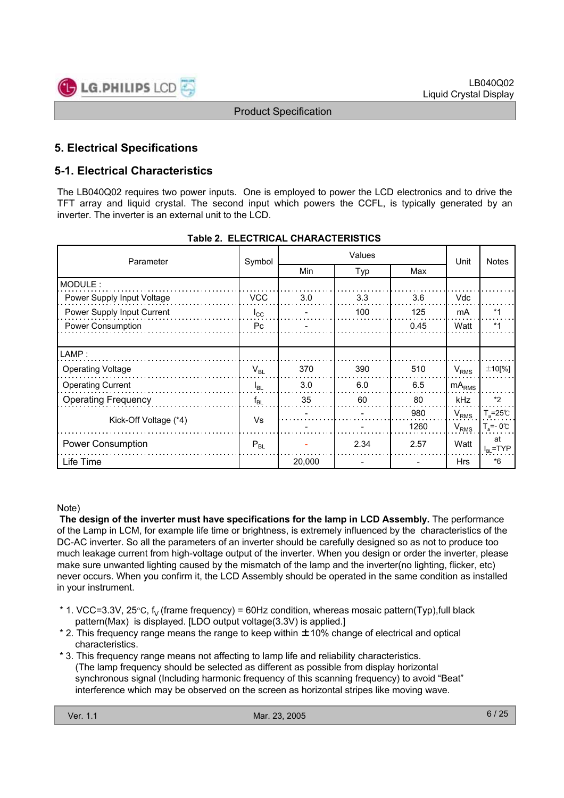

# **5. Electrical Specifications**

# **5-1. Electrical Characteristics**

The LB040Q02 requires two power inputs. One is employed to power the LCD electronics and to drive the TFT array and liquid crystal. The second input which powers the CCFL, is typically generated by an inverter. The inverter is an external unit to the LCD.

| Parameter                  | Symbol       | Values |      |      | Unit              | <b>Notes</b>              |
|----------------------------|--------------|--------|------|------|-------------------|---------------------------|
|                            |              | Min    | Typ  | Max  |                   |                           |
| MODULE:                    |              |        |      |      |                   |                           |
| Power Supply Input Voltage | <b>VCC</b>   | 3.0    | 3.3  | 3.6  | Vdc               |                           |
| Power Supply Input Current | $I_{\rm CC}$ |        | 100  | 125  | mA                | $*1$                      |
| Power Consumption          | Pc.          |        |      | 0.45 | Watt              | $*1$                      |
|                            |              |        |      |      |                   |                           |
| LAMP:                      |              |        |      |      |                   |                           |
| <b>Operating Voltage</b>   | $V_{BL}$     | 370    | 390  | 510  | $V_{RMS}$         | $±10$ [%]                 |
| <b>Operating Current</b>   | $I_{BL}$     | 3.0    | 6.0  | 6.5  | mA <sub>RMS</sub> |                           |
| <b>Operating Frequency</b> | $f_{BL}$     | 35     | 60   | 80   | kHz               | $*2$                      |
|                            | Vs           |        |      | 980  | $V_{RMS}$         | $T_a = 25^\circ \text{C}$ |
| Kick-Off Voltage (*4)      |              |        |      | 1260 | $V_{RMS}$         | $T_s = -0$ °C             |
| <b>Power Consumption</b>   | $P_{BL}$     |        | 2.34 | 2.57 | Watt              | at<br>$I_{BL}$ =TYP       |
| Life Time                  |              | 20,000 |      |      | <b>Hrs</b>        | *6                        |

#### **Table 2. ELECTRICAL CHARACTERISTICS**

#### Note)

**The design of the inverter must have specifications for the lamp in LCD Assembly.** The performance of the Lamp in LCM, for example life time or brightness, is extremely influenced by the characteristics of the DC-AC inverter. So all the parameters of an inverter should be carefully designed so as not to produce too much leakage current from high-voltage output of the inverter. When you design or order the inverter, please make sure unwanted lighting caused by the mismatch of the lamp and the inverter(no lighting, flicker, etc) never occurs. When you confirm it, the LCD Assembly should be operated in the same condition as installed in your instrument.

- \* 1. VCC=3.3V, 25 $\degree$ C, f<sub>V</sub> (frame frequency) = 60Hz condition, whereas mosaic pattern(Typ),full black pattern(Max) is displayed. [LDO output voltage(3.3V) is applied.]
- \* 2. This frequency range means the range to keep within ±10% change of electrical and optical characteristics.
- \* 3. This frequency range means not affecting to lamp life and reliability characteristics. (The lamp frequency should be selected as different as possible from display horizontal synchronous signal (Including harmonic frequency of this scanning frequency) to avoid "Beat" interference which may be observed on the screen as horizontal stripes like moving wave.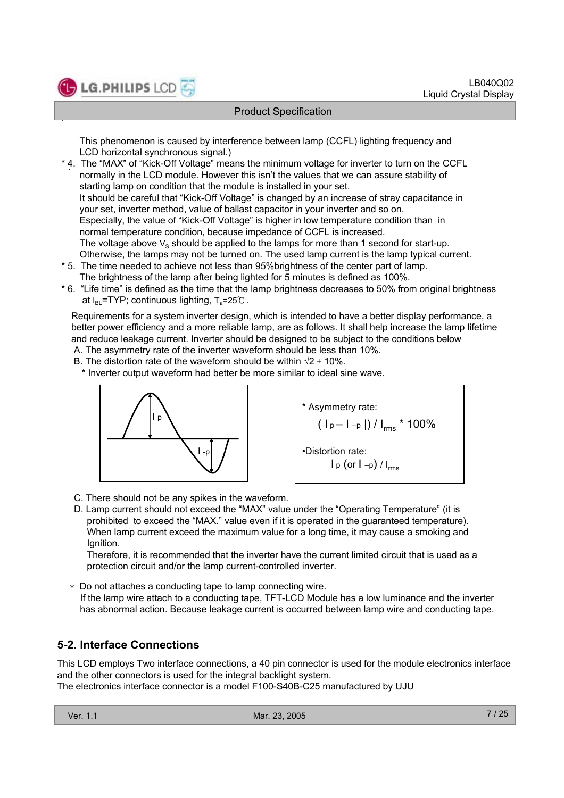

.

#### Product Specification

This phenomenon is caused by interference between lamp (CCFL) lighting frequency and LCD horizontal synchronous signal.)

- . \* 4. The "MAX" of "Kick-Off Voltage" means the minimum voltage for inverter to turn on the CCFL normally in the LCD module. However this isn't the values that we can assure stability of starting lamp on condition that the module is installed in your set. It should be careful that "Kick-Off Voltage" is changed by an increase of stray capacitance in your set, inverter method, value of ballast capacitor in your inverter and so on. Especially, the value of "Kick-Off Voltage" is higher in low temperature condition than in normal temperature condition, because impedance of CCFL is increased. The voltage above  $V_S$  should be applied to the lamps for more than 1 second for start-up. Otherwise, the lamps may not be turned on. The used lamp current is the lamp typical current.
- \* 5. The time needed to achieve not less than 95%brightness of the center part of lamp. The brightness of the lamp after being lighted for 5 minutes is defined as 100%.
- \* 6. "Life time" is defined as the time that the lamp brightness decreases to 50% from original brightness at  $I_{BL}$ =TYP; continuous lighting,  $T_a$ =25℃ .

Requirements for a system inverter design, which is intended to have a better display performance, a better power efficiency and a more reliable lamp, are as follows. It shall help increase the lamp lifetime and reduce leakage current. Inverter should be designed to be subject to the conditions below

- A. The asymmetry rate of the inverter waveform should be less than 10%.
- B. The distortion rate of the waveform should be within  $\sqrt{2} \pm 10\%$ .

\* Inverter output waveform had better be more similar to ideal sine wave.





- C. There should not be any spikes in the waveform.
- D. Lamp current should not exceed the "MAX" value under the "Operating Temperature" (it is prohibited to exceed the "MAX." value even if it is operated in the guaranteed temperature). When lamp current exceed the maximum value for a long time, it may cause a smoking and Ignition.

Therefore, it is recommended that the inverter have the current limited circuit that is used as a protection circuit and/or the lamp current-controlled inverter.

 Do not attaches a conducting tape to lamp connecting wire. If the lamp wire attach to a conducting tape, TFT-LCD Module has a low luminance and the inverter has abnormal action. Because leakage current is occurred between lamp wire and conducting tape.

# **5-2. Interface Connections**

This LCD employs Two interface connections, a 40 pin connector is used for the module electronics interface and the other connectors is used for the integral backlight system. The electronics interface connector is a model F100-S40B-C25 manufactured by UJU

|  | Ver. 1.1 |  |  |
|--|----------|--|--|
|--|----------|--|--|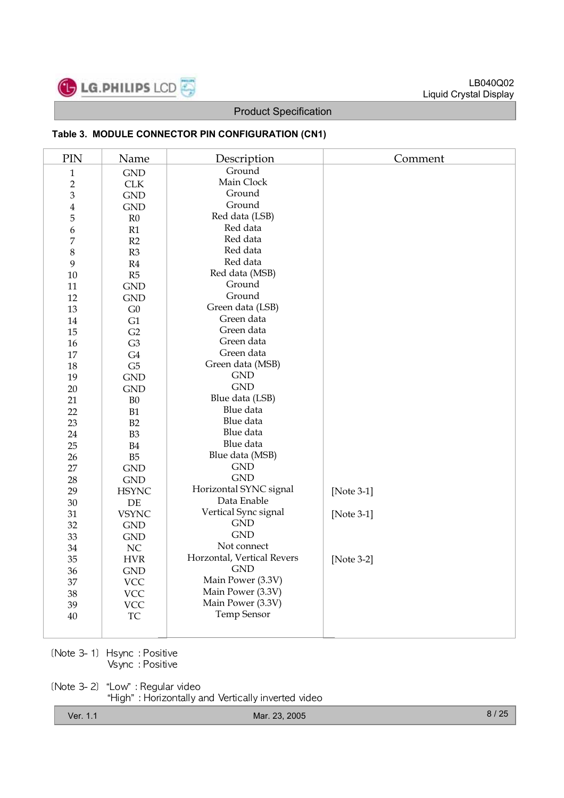

#### **Table 3. MODULE CONNECTOR PIN CONFIGURATION (CN1)**

| PIN            | Name                        | Description                | Comment    |
|----------------|-----------------------------|----------------------------|------------|
| $\mathbf{1}$   | <b>GND</b>                  | Ground                     |            |
| $\sqrt{2}$     | CLK                         | Main Clock                 |            |
| $\mathfrak{B}$ | <b>GND</b>                  | Ground                     |            |
| $\bf 4$        | <b>GND</b>                  | Ground                     |            |
| $\overline{5}$ | R <sub>0</sub>              | Red data (LSB)             |            |
| 6              | R1                          | Red data                   |            |
| 7              | R2                          | Red data                   |            |
| $\,8\,$        | R3                          | Red data                   |            |
| 9              | R4                          | Red data                   |            |
| 10             | R5                          | Red data (MSB)             |            |
| 11             | <b>GND</b>                  | Ground                     |            |
| 12             | <b>GND</b>                  | Ground                     |            |
| 13             | ${\rm G0}$                  | Green data (LSB)           |            |
| 14             | G1                          | Green data                 |            |
| 15             | G2                          | Green data                 |            |
| 16             | G <sub>3</sub>              | Green data                 |            |
| $17\,$         | G4                          | Green data                 |            |
| 18             | G5                          | Green data (MSB)           |            |
| 19             | <b>GND</b>                  | <b>GND</b>                 |            |
| 20             | <b>GND</b>                  | <b>GND</b>                 |            |
| 21             | B <sub>0</sub>              | Blue data (LSB)            |            |
| 22             | B1                          | Blue data                  |            |
| 23             | B2                          | Blue data                  |            |
| 24             | B <sub>3</sub>              | Blue data                  |            |
| 25             | B4                          | Blue data                  |            |
| 26             | B <sub>5</sub>              | Blue data (MSB)            |            |
| 27             | <b>GND</b>                  | <b>GND</b>                 |            |
| 28             | $\mathop{\rm GND}\nolimits$ | <b>GND</b>                 |            |
| 29             | <b>HSYNC</b>                | Horizontal SYNC signal     | [Note 3-1] |
| 30             | DE                          | Data Enable                |            |
| 31             | <b>VSYNC</b>                | Vertical Sync signal       | [Note 3-1] |
| 32             | <b>GND</b>                  | <b>GND</b>                 |            |
| 33             | <b>GND</b>                  | <b>GND</b>                 |            |
| 34             | $\rm NC$                    | Not connect                |            |
| 35             | <b>HVR</b>                  | Horzontal, Vertical Revers | [Note 3-2] |
| 36             | <b>GND</b>                  | <b>GND</b>                 |            |
| 37             | <b>VCC</b>                  | Main Power (3.3V)          |            |
| 38             | <b>VCC</b>                  | Main Power (3.3V)          |            |
| 39             | <b>VCC</b>                  | Main Power (3.3V)          |            |
| $40\,$         | ${\rm TC}$                  | <b>Temp Sensor</b>         |            |
|                |                             |                            |            |
|                |                             |                            |            |

[Note 3-1] Hsync : Positive Vsync : Positive

[Note 3-2] "Low" : Regular video "High" : Horizontally and Vertically inverted video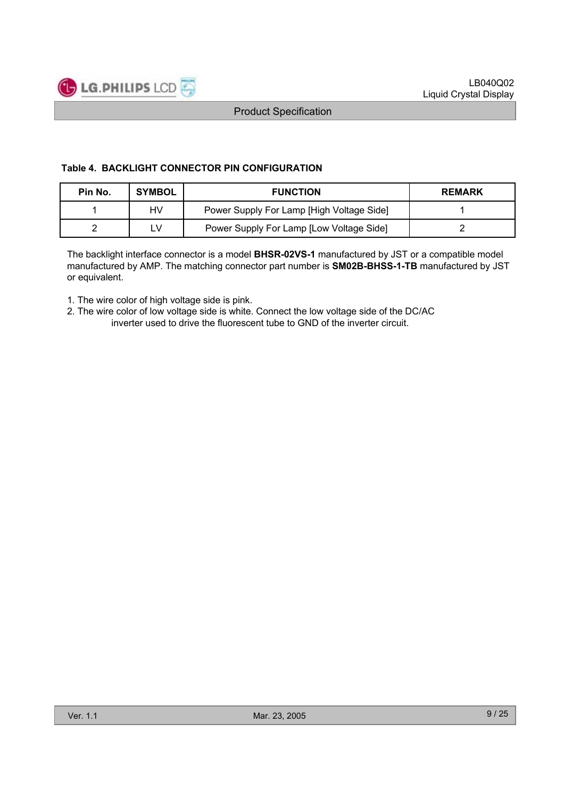

#### **Table 4. BACKLIGHT CONNECTOR PIN CONFIGURATION**

| Pin No. | <b>SYMBOL</b> | <b>FUNCTION</b>                           | <b>REMARK</b> |
|---------|---------------|-------------------------------------------|---------------|
|         | HV            | Power Supply For Lamp [High Voltage Side] |               |
|         | ٢V            | Power Supply For Lamp [Low Voltage Side]  |               |

The backlight interface connector is a model **BHSR-02VS-1** manufactured by JST or a compatible model manufactured by AMP. The matching connector part number is **SM02B-BHSS-1-TB** manufactured by JST or equivalent.

1. The wire color of high voltage side is pink.

2. The wire color of low voltage side is white. Connect the low voltage side of the DC/AC inverter used to drive the fluorescent tube to GND of the inverter circuit.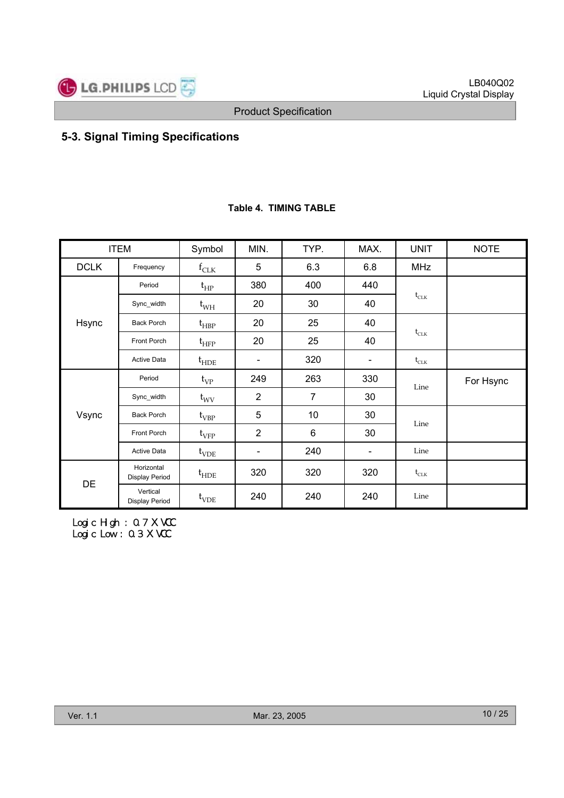

# **5-3. Signal Timing Specifications**

|             | <b>ITEM</b>                         | Symbol                      | MIN.                     | TYP.           | MAX.                     | <b>UNIT</b>                    | <b>NOTE</b> |
|-------------|-------------------------------------|-----------------------------|--------------------------|----------------|--------------------------|--------------------------------|-------------|
| <b>DCLK</b> | Frequency                           | $f_{CLK}$                   | 5                        | 6.3            | 6.8                      | <b>MHz</b>                     |             |
|             | Period                              | $t_{HP}$                    | 380                      | 400            | 440                      |                                |             |
|             | Sync_width                          | $t_{WH}$                    | 20                       | 30             | 40                       | $\mathfrak{t}_{\text{CLK}}$    |             |
| Hsync       | <b>Back Porch</b>                   | $t_{HBP}$                   | 20                       | 25             | 40                       |                                |             |
|             | Front Porch                         | $\mathfrak{t}_{\text{HFP}}$ | 20                       | 25             | 40                       | $\mathfrak{t}_{\text{CLK}}$    |             |
|             | <b>Active Data</b>                  | $t_{\text{HDE}}$            | -                        | 320            | $\overline{\phantom{a}}$ | $t_{\scriptstyle{\text{CLK}}}$ |             |
| Vsync       | Period                              | $t_{VP}$                    | 249                      | 263            | 330                      | Line                           | For Hsync   |
|             | Sync width                          | $t_{\rm WV}$                | $\overline{2}$           | 7              | 30                       |                                |             |
|             | <b>Back Porch</b>                   | $t_{VBP}$                   | 5                        | 10             | 30                       | Line                           |             |
|             | Front Porch                         | $t_{\rm VFP}$               | $\overline{2}$           | $6\phantom{a}$ | 30                       |                                |             |
|             | <b>Active Data</b>                  | $t_{VDE}$                   | $\overline{\phantom{a}}$ | 240            | $\overline{\phantom{a}}$ | Line                           |             |
| DE          | Horizontal<br><b>Display Period</b> | $t_{\text{HDE}}$            | 320                      | 320            | 320                      | $\mathfrak{t}_{\text{CLK}}$    |             |
|             | Vertical<br>Display Period          | $t_{VDE}$                   | 240                      | 240            | 240                      | Line                           |             |

#### **Table 4. TIMING TABLE**

Logi c Hi gh : 0. 7 X VCC Logic Low : 0.3 X VCC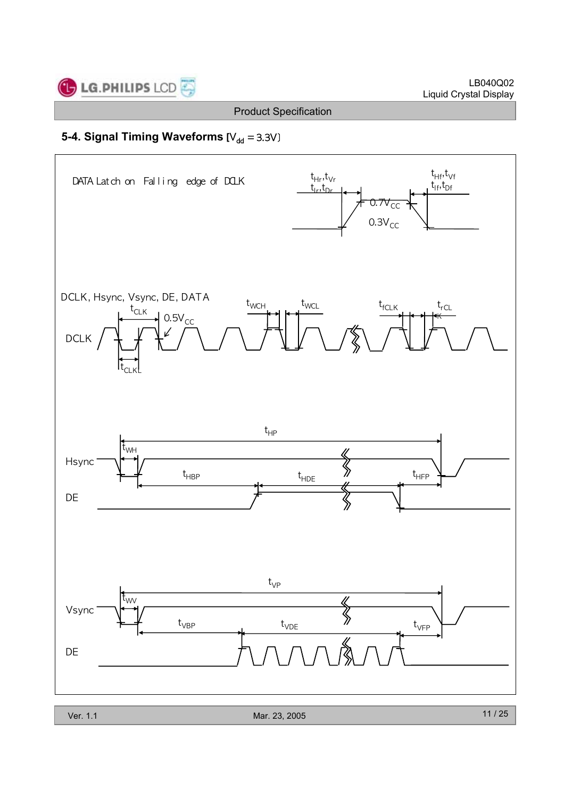

# **5-4. Signal Timing Waveforms [V<sub>dd</sub> = 3.3V]**

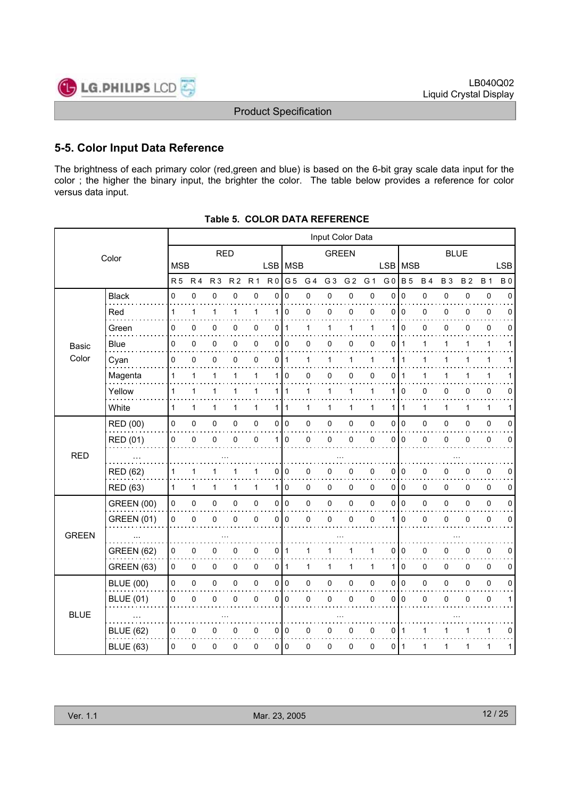

# **5-5. Color Input Data Reference**

The brightness of each primary color (red,green and blue) is based on the 6-bit gray scale data input for the color ; the higher the binary input, the brighter the color. The table below provides a reference for color versus data input.

|              | Input Color Data  |                |                |                |                |              |                |              |     |                |                |              |                |                |              |           |              |              |              |
|--------------|-------------------|----------------|----------------|----------------|----------------|--------------|----------------|--------------|-----|----------------|----------------|--------------|----------------|----------------|--------------|-----------|--------------|--------------|--------------|
| Color        |                   | <b>RED</b>     |                |                |                | <b>GREEN</b> |                |              |     | <b>BLUE</b>    |                |              |                |                |              |           |              |              |              |
|              |                   | <b>MSB</b>     |                |                |                |              |                | LSB   MSB    |     |                |                |              | <b>LSB</b>     | <b>MSB</b>     |              |           |              |              | <b>LSB</b>   |
|              |                   | R <sub>5</sub> | R <sub>4</sub> | R <sub>3</sub> | R <sub>2</sub> | <b>R1</b>    | R <sub>0</sub> | G 5          | G 4 | G <sub>3</sub> | G <sub>2</sub> | G 1          | G <sub>0</sub> | <b>B</b> 5     | <b>B4</b>    | <b>B3</b> | <b>B2</b>    | <b>B</b> 1   | <b>B0</b>    |
|              | <b>Black</b>      | 0              | $\mathbf 0$    | 0              | 0              | 0            | 0              | $\mathbf 0$  | 0   | 0              | 0              | $\mathsf 0$  | $\mathbf{0}$   | $\Omega$       | 0            | 0         | 0            | $\pmb{0}$    | $\Omega$     |
|              | Red               | 1              | 1              | $\mathbf{1}$   | 1              | 1            | 1              | 0            | 0   | 0              | 0              | $\mathbf 0$  | 0              | $\mathbf 0$    | 0            | 0         | 0            | 0            | 0            |
|              | Green             | 0              | 0              | 0              | 0              | 0            | 0              | 1            | 1   | 1              | 1              | 1            | 1              | $\Omega$       | 0            | 0         | 0            | 0            | 0            |
| Basic        | <b>Blue</b>       | 0              | 0              | 0              | 0              | 0            | 0              | 0            | 0   | 0              | 0              | 0            | 0              | 1              | 1            | 1         | 1            | $\mathbf{1}$ | 1            |
| Color        | Cyan              | 0              | $\mathbf 0$    | 0              | $\mathbf{0}$   | $\mathbf{0}$ | 0              | $\mathbf 1$  | 1   | 1              | $\mathbf{1}$   | 1            | 1              | 1              | $\mathbf{1}$ | 1         | 1            | $\mathbf{1}$ | 1            |
|              | Magenta           | 1              | 1              | 1              | 1              | 1            | 1              | 0            | 0   | 0              | 0              | 0            | 0              | -1             | 1            | 1         |              | 1            |              |
|              | Yellow            | 1              | 1              | 1              | 1              | 1            | 1 <sup>1</sup> | $\mathbf{1}$ | 1   | 1              | $\mathbf{1}$   | 1            | 1              | 0              | 0            | 0         | 0            | $\mathbf 0$  | 0            |
|              | White             | 1              | $\mathbf{1}$   | 1              | 1              | $\mathbf{1}$ | $\mathbf{1}$   | $\mathbf{1}$ | 1   | 1              | $\mathbf{1}$   | $\mathbf{1}$ | 1              | $\mathbf{1}$   | $\mathbf{1}$ | 1         | $\mathbf{1}$ | $\mathbf{1}$ | 1            |
|              | RED (00)          | 0              | 0              | 0              | 0              | $\pmb{0}$    | 0              | $\mathbf 0$  | 0   | $\pmb{0}$      | 0              | 0            | 0              | l o            | 0            | 0         | 0            | $\pmb{0}$    | 0            |
|              | RED (01)          | 0              | $\mathbf 0$    | 0              | $\mathbf{0}$   | $\Omega$     | 1              | $\mathbf{0}$ | 0   | 0              | 0              | 0            | $\Omega$       | ۱o             | 0            | 0         | 0            | 0            | $\mathbf 0$  |
| <b>RED</b>   |                   |                |                |                |                |              |                |              |     |                |                |              |                |                |              |           |              |              |              |
|              | <b>RED (62)</b>   | 1              | 1              | 1              | 1              | 1            | 0              | 0            | 0   | 0              | 0              | 0            | 0              | 0              | 0            | 0         | 0            | 0            | 0            |
|              | <b>RED (63)</b>   | 1              | $\mathbf{1}$   | 1              | 1              | $\mathbf{1}$ | $\mathbf{1}$   | 0            | 0   | 0              | 0              | $\Omega$     | $\Omega$       | I٥             | 0            | $\Omega$  | 0            | $\mathbf 0$  | 0            |
|              | <b>GREEN (00)</b> | 0              | 0              | 0              | 0              | $\pmb{0}$    | 0              | $\mathbf 0$  | 0   | $\pmb{0}$      | 0              | 0            | 0              | $\overline{0}$ | 0            | 0         | 0            | $\pmb{0}$    | 0            |
|              | <b>GREEN (01)</b> | 0              | 0              | 0              | 0              | 0            | 0              | 0            | 0   | 0              | 0              | 0            | 1              | $\mathbf 0$    | 0            | 0         | 0            | $\pmb{0}$    | 0            |
| <b>GREEN</b> |                   |                |                |                |                |              |                |              |     |                |                |              |                |                |              |           |              |              |              |
|              | <b>GREEN (62)</b> | 0              | 0              | 0              | 0              | 0            | 0              | 1            | 1   | 1              | 1              | 1            | 0              | l 0            | $\pmb{0}$    | 0         | 0            | $\pmb{0}$    | 0            |
|              | <b>GREEN (63)</b> | 0              | 0              | 0              | 0              | $\mathbf 0$  | 0              | $\mathbf{1}$ | 1   | 1              | $\mathbf{1}$   | 1            | 1              | $\mathbf 0$    | 0            | $\Omega$  | 0            | $\mathbf 0$  | 0            |
|              | <b>BLUE (00)</b>  | 0              | $\pmb{0}$      | 0              | 0              | $\mathsf 0$  | 0              | $\pmb{0}$    | 0   | $\mathbf 0$    | $\mathsf 0$    | 0            | 0              | $\pmb{0}$      | 0            | $\Omega$  | 0            | $\pmb{0}$    | $\mathbf 0$  |
|              | <b>BLUE (01)</b>  | 0              | $\pmb{0}$      | 0              | 0              | 0            | 0              | 0            | 0   | 0              | 0              | 0            | 0              | $\mathbf 0$    | 0            | 0         | 0            | $\pmb{0}$    | $\mathbf{1}$ |
| <b>BLUE</b>  |                   |                |                |                |                |              |                |              |     |                |                |              |                |                |              |           |              |              |              |
|              | <b>BLUE (62)</b>  | 0              | 0              | 0              | 0              | 0            | 0              | $\mathbf 0$  | 0   | 0              | 0              | 0            | 0              | $\mathbf 1$    | 1            | 1         | 1            | $\mathbf{1}$ | 0            |
|              | <b>BLUE (63)</b>  | 0              | 0              | 0              | 0              | 0            | 0              | 0            | 0   | 0              | 0              | 0            | 0              | ∣ 1            | 1            | 1         | 1            | 1            | 1            |
|              |                   |                |                |                |                |              |                |              |     |                |                |              |                |                |              |           |              |              |              |

**Table 5. COLOR DATA REFERENCE**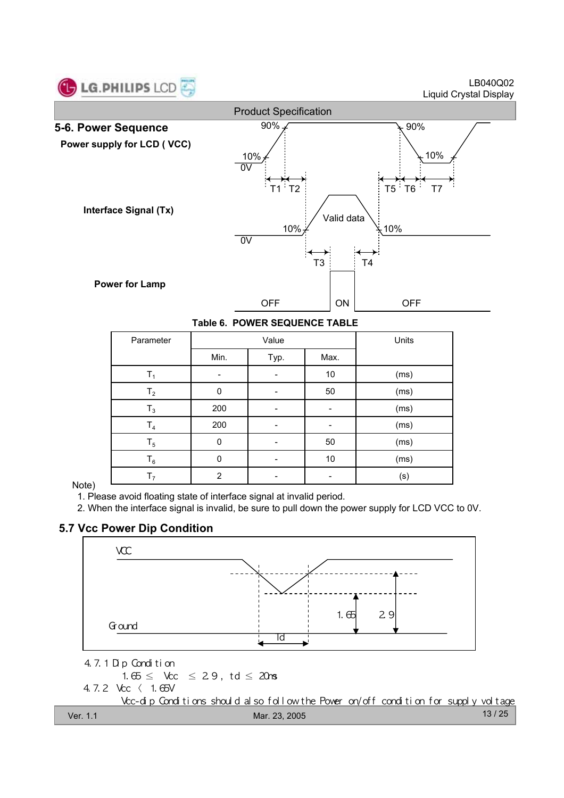

LB040Q02 Liquid Crystal Display



**Table 6. POWER SEQUENCE TABLE**

| Parameter      |                | Value | Units |      |
|----------------|----------------|-------|-------|------|
|                | Min.           | Typ.  | Max.  |      |
| $\mathsf{T}_1$ |                |       | 10    | (ms) |
| T <sub>2</sub> | $\mathbf 0$    |       | 50    | (ms) |
| $T_3$          | 200            |       |       | (ms) |
| T <sub>4</sub> | 200            |       |       | (ms) |
| $T_5$          | $\Omega$       |       | 50    | (ms) |
| $T_6$          | $\mathbf 0$    |       | $10$  | (ms) |
| T <sub>7</sub> | $\overline{2}$ |       |       | (s)  |

#### Note)

1. Please avoid floating state of interface signal at invalid period.

2. When the interface signal is invalid, be sure to pull down the power supply for LCD VCC to 0V.

# **5.7 Vcc Power Dip Condition**

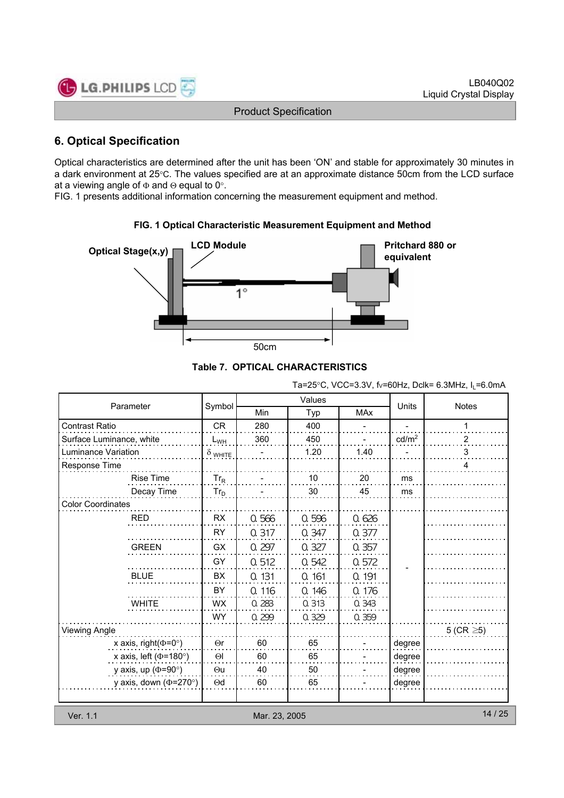

# **6. Optical Specification**

Optical characteristics are determined after the unit has been 'ON' and stable for approximately 30 minutes in a dark environment at 25°C. The values specified are at an approximate distance 50cm from the LCD surface at a viewing angle of  $\Phi$  and  $\Theta$  equal to 0°.

FIG. 1 presents additional information concerning the measurement equipment and method.



#### **FIG. 1 Optical Characteristic Measurement Equipment and Method**

**Table 7. OPTICAL CHARACTERISTICS**

Ta=25°C, VCC=3.3V, fv=60Hz, Dclk= 6.3MHz,  $I_1$ =6.0mA

|                              |                        |       | Values | <b>Units</b> |                   |                 |  |  |  |
|------------------------------|------------------------|-------|--------|--------------|-------------------|-----------------|--|--|--|
| Parameter                    | Symbol                 | Min   | Typ    | <b>MAx</b>   |                   | <b>Notes</b>    |  |  |  |
| <b>Contrast Ratio</b>        | <b>CR</b>              | 280   | 400    |              |                   | 1               |  |  |  |
| Surface Luminance, white     | $L_{WH}$               | 360   | 450    |              | cd/m <sup>2</sup> | 2               |  |  |  |
| Luminance Variation          | $\delta$ white         |       | 1.20   | 1.40         |                   | 3               |  |  |  |
| Response Time                |                        |       |        |              |                   | 4               |  |  |  |
| <b>Rise Time</b>             | $Tr_R$                 |       | 10     | 20           | ms                |                 |  |  |  |
| Decay Time                   | $Tr_D$                 |       | 30     | 45           | ms                |                 |  |  |  |
| <b>Color Coordinates</b>     |                        |       |        |              |                   |                 |  |  |  |
| <b>RED</b>                   | <b>RX</b>              | 0.566 | 0.596  | 0.626        |                   |                 |  |  |  |
|                              | <b>RY</b>              | 0.317 | 0.347  | 0.377        |                   |                 |  |  |  |
| <b>GREEN</b>                 | <b>GX</b>              | 0.297 | 0.327  | 0.357        |                   |                 |  |  |  |
|                              | GY                     | 0.512 | 0.542  | 0.572        |                   |                 |  |  |  |
| <b>BLUE</b>                  | <b>BX</b>              | 0.131 | 0.161  | 0.191        |                   |                 |  |  |  |
|                              | BY                     | 0.116 | 0.146  | 0.176        |                   |                 |  |  |  |
| <b>WHITE</b>                 | <b>WX</b>              | 0.283 | 0.313  | 0.343        |                   |                 |  |  |  |
|                              | <b>WY</b>              | 0.299 | 0.329  | 0.359        |                   |                 |  |  |  |
| Viewing Angle                |                        |       |        |              |                   | 5 (CR $\geq$ 5) |  |  |  |
| x axis, right( $\Phi$ =0°)   | $\Theta$ r             | 60    | 65     |              | degree            |                 |  |  |  |
| x axis, left ( $\Phi$ =180°) | $\Theta$               | 60    | 65     |              | degree            |                 |  |  |  |
| y axis, up ( $\Phi$ =90°)    | $\Theta$ u             | 40    | 50     |              | degree            |                 |  |  |  |
| y axis, down ( $\Phi$ =270°) | $\Theta$ d             | 60    | 65     |              | degree            |                 |  |  |  |
|                              |                        |       |        |              |                   |                 |  |  |  |
| Ver. 1.1                     | 14/25<br>Mar. 23, 2005 |       |        |              |                   |                 |  |  |  |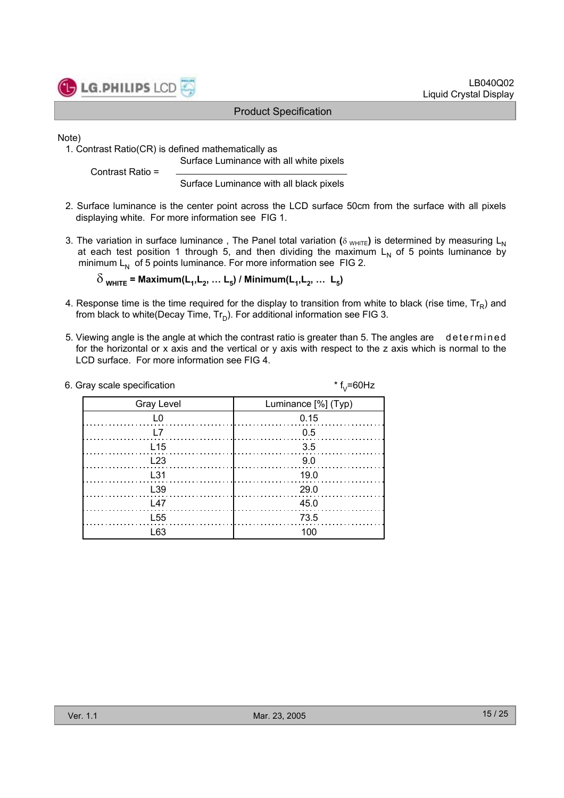

Note)

1. Contrast Ratio(CR) is defined mathematically as Surface Luminance with all white pixels

Contrast Ratio =

Surface Luminance with all black pixels

- 2. Surface luminance is the center point across the LCD surface 50cm from the surface with all pixels displaying white. For more information see FIG 1.
- 3. The variation in surface luminance, The Panel total variation ( $\delta$  WHITE) is determined by measuring L<sub>N</sub> at each test position 1 through 5, and then dividing the maximum  $L<sub>N</sub>$  of 5 points luminance by minimum  $L_N$  of 5 points luminance. For more information see FIG 2.

 $\delta$ <sub>WHITE</sub> = Maximum(L<sub>1</sub>, L<sub>2</sub>, ... L<sub>5</sub>) / Minimum(L<sub>1</sub>, L<sub>2</sub>, ... L<sub>5</sub>)

- 4. Response time is the time required for the display to transition from white to black (rise time,  $Tr_B$ ) and from black to white(Decay Time,  $Tr_D$ ). For additional information see FIG 3.
- 5. Viewing angle is the angle at which the contrast ratio is greater than 5. The angles are determined for the horizontal or x axis and the vertical or y axis with respect to the z axis which is normal to the LCD surface. For more information see FIG 4.

| 6. Gray scale specification | * $f_{v} = 60$ Hz   |
|-----------------------------|---------------------|
| <b>Gray Level</b>           | Luminance [%] (Typ) |
|                             | 0.15                |
|                             | 0.5                 |
| L15                         | -3.5                |
| L23                         | 9.0                 |
| L31                         | 19.0                |
| L <sub>39</sub>             | - 29.0              |
| L47                         | 45.0                |
| L <sub>55</sub>             | 73.5                |
| L63                         | 100                 |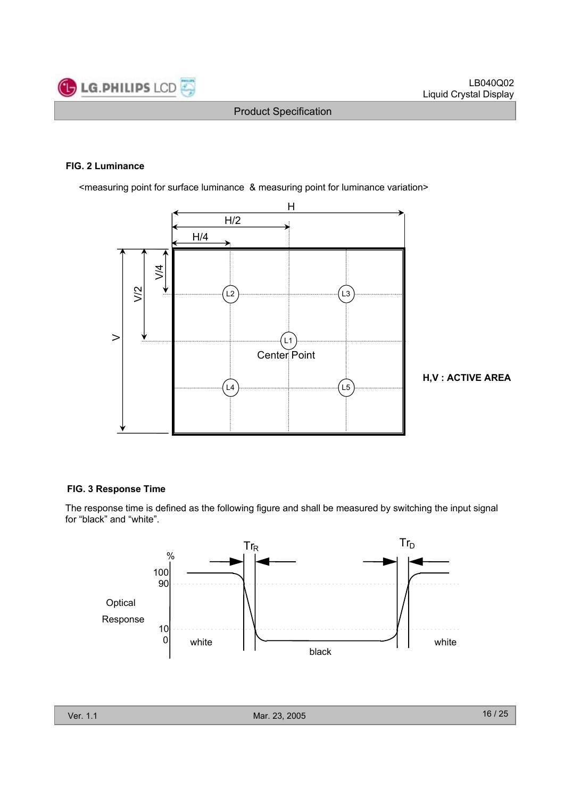

#### **FIG. 2 Luminance**

<measuring point for surface luminance & measuring point for luminance variation>



**H,V : ACTIVE AREA**

#### **FIG. 3 Response Time**

The response time is defined as the following figure and shall be measured by switching the input signal for "black" and "white".

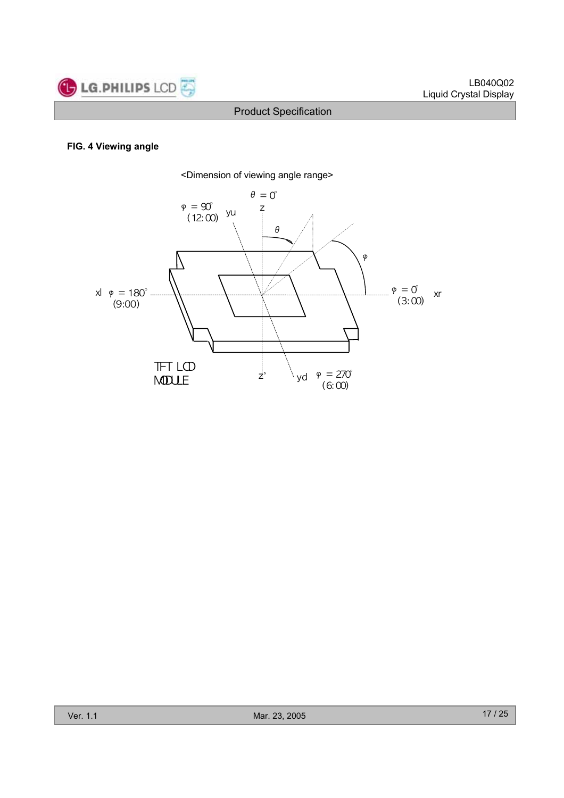

#### **FIG. 4 Viewing angle**

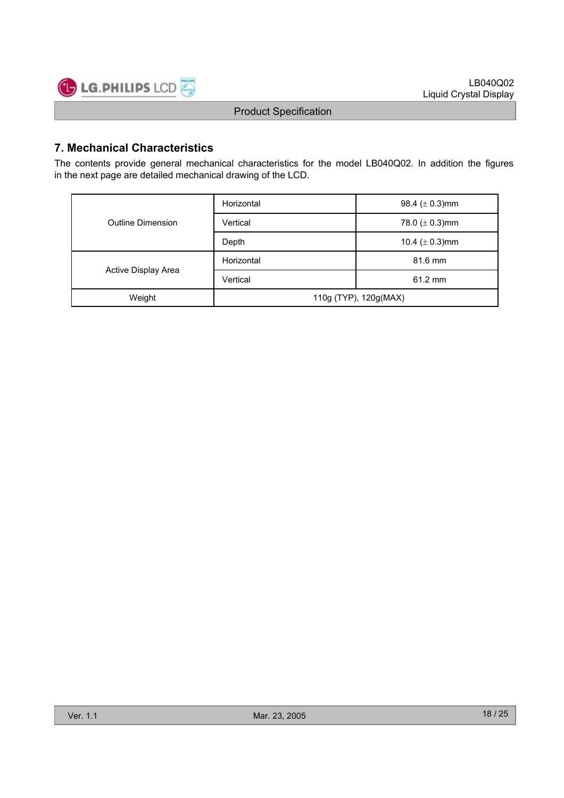

# **7. Mechanical Characteristics**

The contents provide general mechanical characteristics for the model LB040Q02. In addition the figures in the next page are detailed mechanical drawing of the LCD.

|                     | Horizontal            | 98.4 ( $\pm$ 0.3)mm |  |  |  |
|---------------------|-----------------------|---------------------|--|--|--|
| Outline Dimension   | Vertical              | 78.0 ( $\pm$ 0.3)mm |  |  |  |
|                     | Depth                 | 10.4 ( $\pm$ 0.3)mm |  |  |  |
|                     | Horizontal            | 81.6 mm             |  |  |  |
| Active Display Area | Vertical              | $61.2 \text{ mm}$   |  |  |  |
| Weight              | 110g (TYP), 120g(MAX) |                     |  |  |  |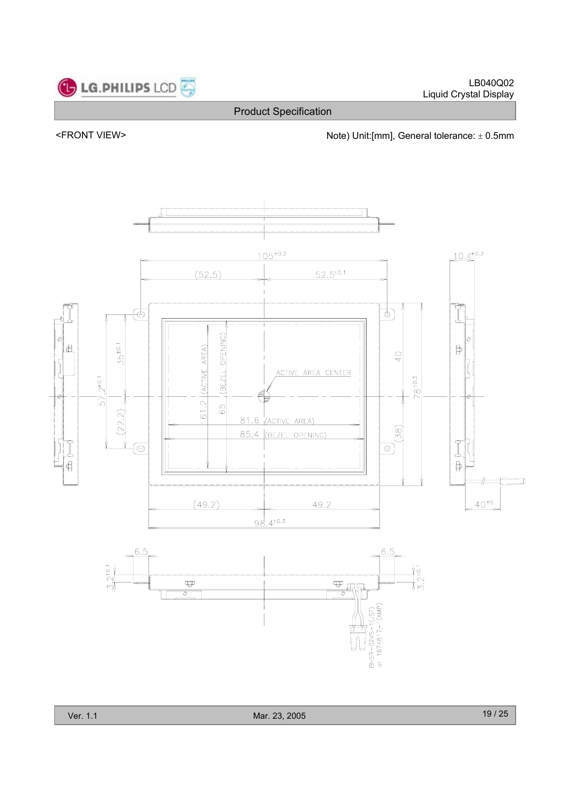



<FRONT VIEW> <parallel to the Note) Unit:[mm], General tolerance:  $\pm$  0.5mm

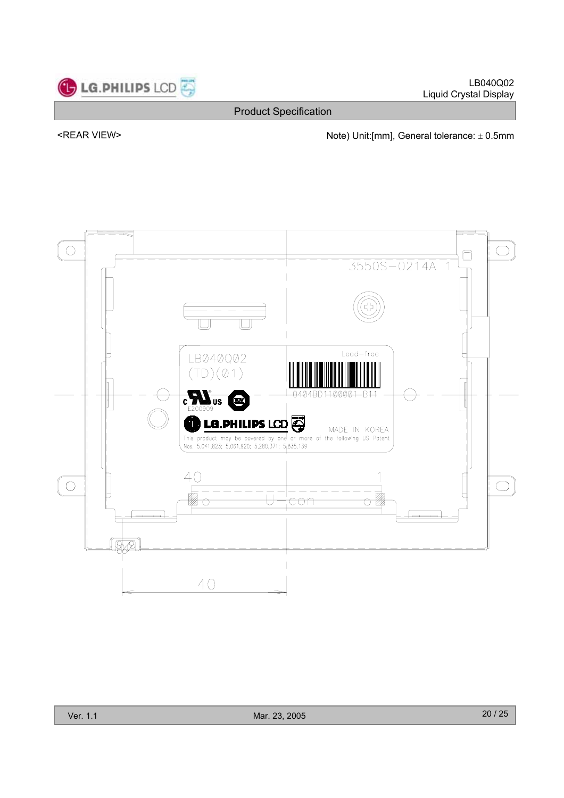

LB040Q02 Liquid Crystal Display

Product Specification

<REAR VIEW> Note) Unit:[mm], General tolerance:  $\pm$  0.5mm

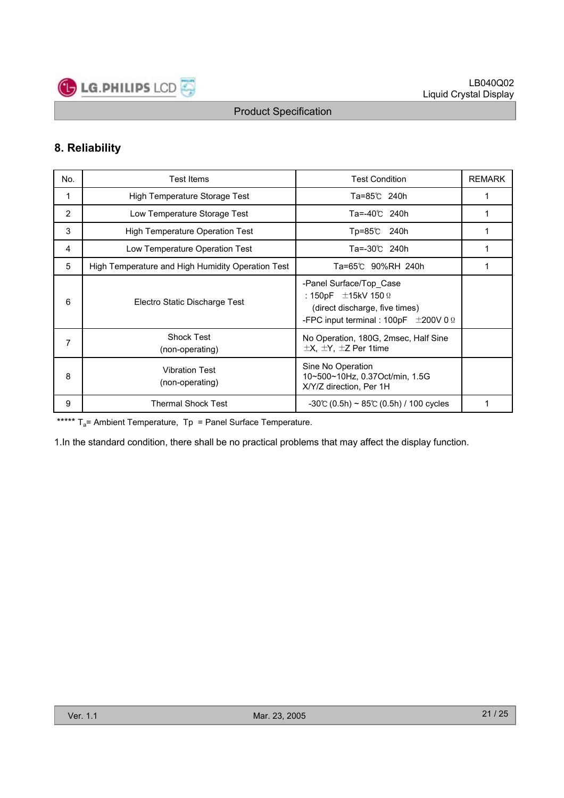

# **8. Reliability**

| No. | <b>Test Items</b>                                 | <b>Test Condition</b>                                                                                                                             | <b>REMARK</b> |
|-----|---------------------------------------------------|---------------------------------------------------------------------------------------------------------------------------------------------------|---------------|
| 1   | High Temperature Storage Test                     | Ta=85℃ 240h                                                                                                                                       |               |
| 2   | Low Temperature Storage Test                      | Ta=-40℃ 240h                                                                                                                                      |               |
| 3   | <b>High Temperature Operation Test</b>            | Tp=85℃<br>240h                                                                                                                                    | 1             |
| 4   | Low Temperature Operation Test                    | Ta=-30℃ 240h                                                                                                                                      | 1             |
| 5   | High Temperature and High Humidity Operation Test | Ta=65℃ 90%RH 240h                                                                                                                                 |               |
| 6   | Electro Static Discharge Test                     | -Panel Surface/Top Case<br>: 150pF $\pm$ 15kV 150 $\Omega$<br>(direct discharge, five times)<br>-FPC input terminal : 100pF $\pm$ 200V 0 $\Omega$ |               |
| 7   | <b>Shock Test</b><br>(non-operating)              | No Operation, 180G, 2msec, Half Sine<br>$\pm$ X, $\pm$ Y, $\pm$ Z Per 1time                                                                       |               |
| 8   | <b>Vibration Test</b><br>(non-operating)          | Sine No Operation<br>10~500~10Hz, 0.37Oct/min, 1.5G<br>X/Y/Z direction, Per 1H                                                                    |               |
| 9   | <b>Thermal Shock Test</b>                         | $-30^{\circ}$ (0.5h) ~ 85°C (0.5h) / 100 cycles                                                                                                   |               |

\*\*\*\*\*  $T_a$ = Ambient Temperature,  $T_p$  = Panel Surface Temperature.

1.In the standard condition, there shall be no practical problems that may affect the display function.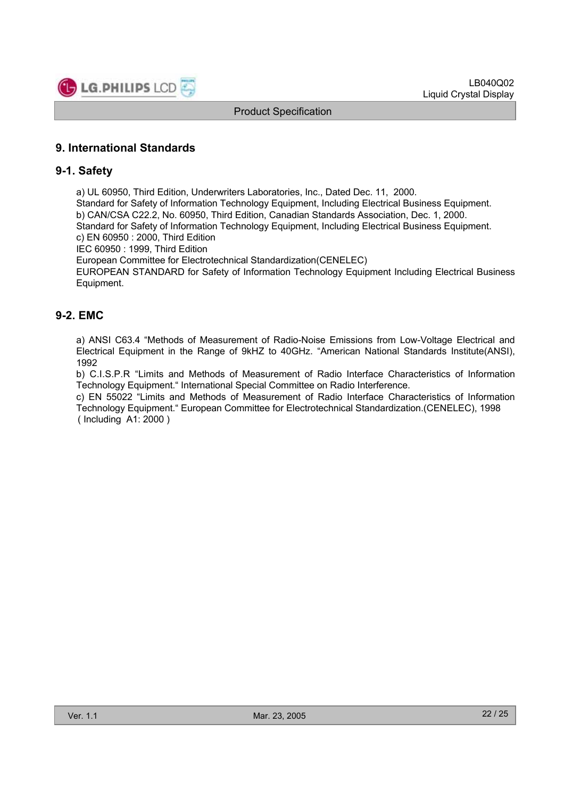

# **9. International Standards**

#### **9-1. Safety**

a) UL 60950, Third Edition, Underwriters Laboratories, Inc., Dated Dec. 11, 2000.

Standard for Safety of Information Technology Equipment, Including Electrical Business Equipment. b) CAN/CSA C22.2, No. 60950, Third Edition, Canadian Standards Association, Dec. 1, 2000. Standard for Safety of Information Technology Equipment, Including Electrical Business Equipment.

c) EN 60950 : 2000, Third Edition

IEC 60950 : 1999, Third Edition

European Committee for Electrotechnical Standardization(CENELEC)

EUROPEAN STANDARD for Safety of Information Technology Equipment Including Electrical Business Equipment.

# **9-2. EMC**

a) ANSI C63.4 "Methods of Measurement of Radio-Noise Emissions from Low-Voltage Electrical and Electrical Equipment in the Range of 9kHZ to 40GHz. "American National Standards Institute(ANSI), 1992

b) C.I.S.P.R "Limits and Methods of Measurement of Radio Interface Characteristics of Information Technology Equipment." International Special Committee on Radio Interference.

c) EN 55022 "Limits and Methods of Measurement of Radio Interface Characteristics of Information Technology Equipment." European Committee for Electrotechnical Standardization.(CENELEC), 1998 ( Including A1: 2000 )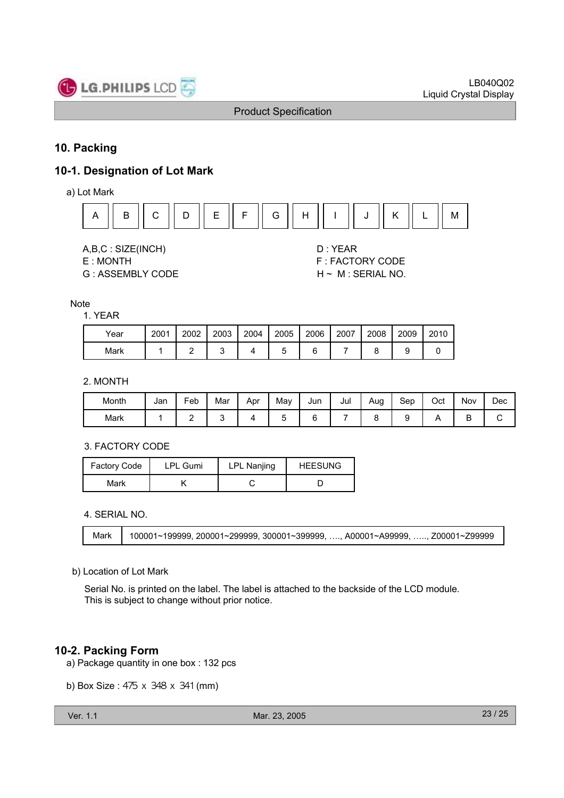

# **10. Packing**

# **10-1. Designation of Lot Mark**

a) Lot Mark



A,B,C : SIZE(INCH) D : YEAR

G : ASSEMBLY CODE H ~ M : SERIAL NO.

E : MONTH F : FACTORY CODE

#### **Note**

#### 1. YEAR

| Year | 2001 | 2002 | 2003 | 2004 | 2005 | 2006 | 2007 | 2008 | 2009 | 2010 |
|------|------|------|------|------|------|------|------|------|------|------|
| Mark |      |      |      |      |      |      |      |      |      |      |

### 2. MONTH

| Month | Jan | -<br>Feb | Mar | Apr | May | Jun | Jul | Aug | Sep | Oct | Nov | Dec |
|-------|-----|----------|-----|-----|-----|-----|-----|-----|-----|-----|-----|-----|
| Mark  |     | -        |     |     | ີ   |     |     |     | c   |     | -   | ◡   |

#### 3. FACTORY CODE

| <b>Factory Code</b> | LPL Gumi | LPL Nanjing | <b>HEESUNG</b> |  |  |
|---------------------|----------|-------------|----------------|--|--|
| Mark                |          |             |                |  |  |

4. SERIAL NO.

Mark | 100001~199999, 200001~299999, 300001~399999, …., A00001~A99999, ….., Z00001~Z99999

#### b) Location of Lot Mark

Serial No. is printed on the label. The label is attached to the backside of the LCD module. This is subject to change without prior notice.

# **10-2. Packing Form**

- a) Package quantity in one box : 132 pcs
- b) Box Size : 475 x 348 x 341 (mm)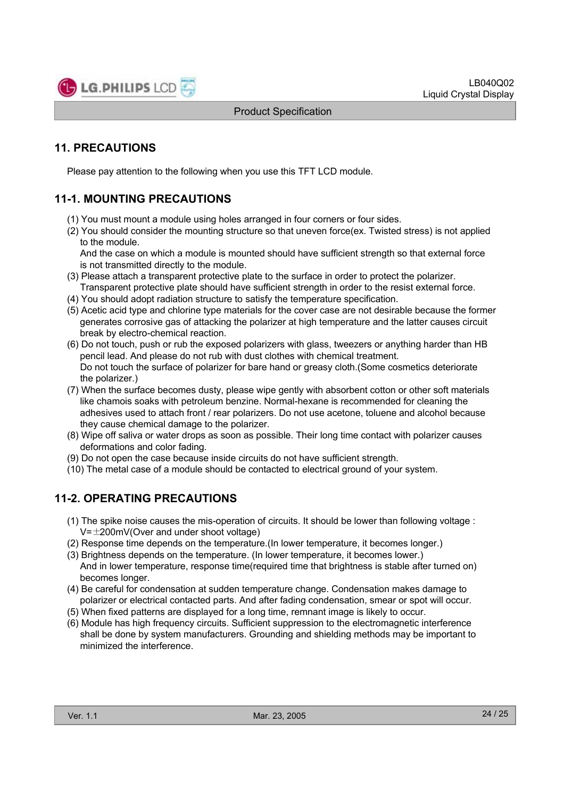

# **11. PRECAUTIONS**

Please pay attention to the following when you use this TFT LCD module.

# **11-1. MOUNTING PRECAUTIONS**

- (1) You must mount a module using holes arranged in four corners or four sides.
- (2) You should consider the mounting structure so that uneven force(ex. Twisted stress) is not applied to the module.

And the case on which a module is mounted should have sufficient strength so that external force is not transmitted directly to the module.

- (3) Please attach a transparent protective plate to the surface in order to protect the polarizer. Transparent protective plate should have sufficient strength in order to the resist external force.
- (4) You should adopt radiation structure to satisfy the temperature specification.
- (5) Acetic acid type and chlorine type materials for the cover case are not desirable because the former generates corrosive gas of attacking the polarizer at high temperature and the latter causes circuit break by electro-chemical reaction.
- (6) Do not touch, push or rub the exposed polarizers with glass, tweezers or anything harder than HB pencil lead. And please do not rub with dust clothes with chemical treatment. Do not touch the surface of polarizer for bare hand or greasy cloth.(Some cosmetics deteriorate the polarizer.)
- (7) When the surface becomes dusty, please wipe gently with absorbent cotton or other soft materials like chamois soaks with petroleum benzine. Normal-hexane is recommended for cleaning the adhesives used to attach front / rear polarizers. Do not use acetone, toluene and alcohol because they cause chemical damage to the polarizer.
- (8) Wipe off saliva or water drops as soon as possible. Their long time contact with polarizer causes deformations and color fading.
- (9) Do not open the case because inside circuits do not have sufficient strength.
- (10) The metal case of a module should be contacted to electrical ground of your system.

# **11-2. OPERATING PRECAUTIONS**

- (1) The spike noise causes the mis-operation of circuits. It should be lower than following voltage :  $V=\pm 200$ mV(Over and under shoot voltage)
- (2) Response time depends on the temperature.(In lower temperature, it becomes longer.)
- (3) Brightness depends on the temperature. (In lower temperature, it becomes lower.) And in lower temperature, response time(required time that brightness is stable after turned on) becomes longer.
- (4) Be careful for condensation at sudden temperature change. Condensation makes damage to polarizer or electrical contacted parts. And after fading condensation, smear or spot will occur.
- (5) When fixed patterns are displayed for a long time, remnant image is likely to occur.
- (6) Module has high frequency circuits. Sufficient suppression to the electromagnetic interference shall be done by system manufacturers. Grounding and shielding methods may be important to minimized the interference.